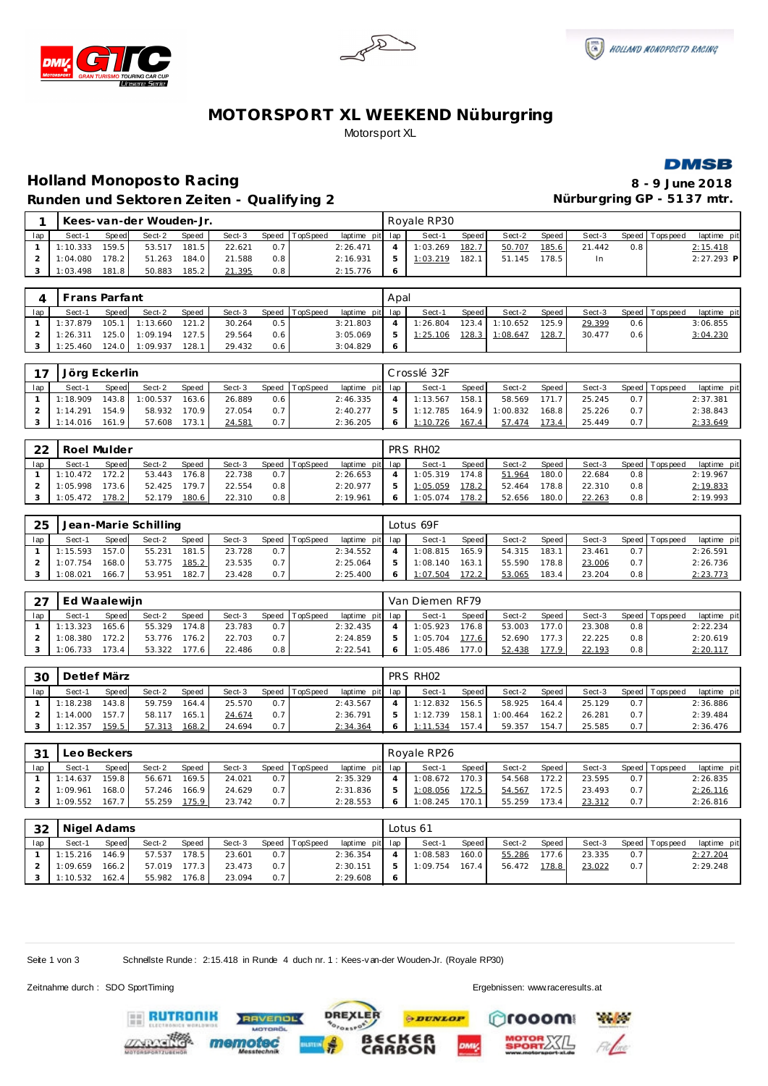





# **MOTORSPORT XL WEEKEND Nüburgring** Motorsport XL



# **Holland Monoposto Racing 8 - 9 June 2018** Runden und Sektoren Zeiten - Qualifying 2 **Nürburgring GP - 5137 mtr.**

|     |          |       | Kees-van-der Wouden-Jr. |       |        |     |                |                 | Rovale RP30 |       |        |       |        |     |                 |              |
|-----|----------|-------|-------------------------|-------|--------|-----|----------------|-----------------|-------------|-------|--------|-------|--------|-----|-----------------|--------------|
| lap | Sect-1   | Speed | Sect-2                  | Speed | Sect-3 |     | Speed TopSpeed | laptime pit lap | Sect-1      | Speed | Sect-2 | Speed | Sect-3 |     | Speed Tops peed | laptime pit  |
|     | 1:10.333 | 159.5 | 53.517                  | 181.5 | 22.621 | 0.7 |                | 2:26.471        | 1:03.269    | 182.7 | 50.707 | 185.6 | 21.442 | 0.8 |                 | 2:15.418     |
|     | 1:04.080 | 178.2 | 51.263                  | 184.0 | 21.588 | 0.8 |                | 2:16.931        | 1:03.219    | 182.  | 51.145 | 178.5 | In     |     |                 | $2:27.293$ P |
|     | 1:03.498 | 181.8 | 50.883                  | 185.2 | 21.395 | 0.8 |                | 2:15.776        |             |       |        |       |        |     |                 |              |

|     | Frans Parfant |              |          |       |        |     |                |                 | Apal |          |         |                |         |        |     |                  |             |
|-----|---------------|--------------|----------|-------|--------|-----|----------------|-----------------|------|----------|---------|----------------|---------|--------|-----|------------------|-------------|
| lap | Sect-1        | <b>Speed</b> | Sect-2   | Speed | Sect-3 |     | Speed TopSpeed | laptime pit lap |      | Sect-1   | Speed   | Sect-2         | Speed I | Sect-3 |     | Speed   Topspeed | laptime pit |
|     | 1:37.879      | 105.1        | 1:13.660 | 121.2 | 30.264 | 0.5 |                | 3:21.803        |      | 1:26.804 | $123.4$ | 1:10.652       | 125.9   | 29.399 | 0.6 |                  | 3:06.855    |
|     | 1:26.311      | 125.0        | 1:09.194 | 127.5 | 29.564 | 0.6 |                | 3:05.069        |      | 1:25.106 |         | 128.3 1:08.647 | 128.7   | 30.477 | 0.6 |                  | 3:04.230    |
|     | 1:25.460      | 124.01       | 1:09.937 | 128.1 | 29.432 | 0.6 |                | 3:04.829        |      |          |         |                |         |        |     |                  |             |

| 17  | Jörg Eckerlin |              |          |              |        |     |                |                 |    | Crosslé 32F |       |          |       |        |     |                   |             |
|-----|---------------|--------------|----------|--------------|--------|-----|----------------|-----------------|----|-------------|-------|----------|-------|--------|-----|-------------------|-------------|
| lap | Sect-1        | <b>Speed</b> | Sect-2   | <b>Speed</b> | Sect-3 |     | Speed TopSpeed | laptime pit lap |    | Sect-1      | Speed | Sect-2   | Speed | Sect-3 |     | Speed   Tops peed | laptime pit |
|     | 1:18.909      | 143.8 I      | 1:00.537 | 163.6        | 26.889 | 0.6 |                | 2:46.335        |    | 1:13.567    | 158.1 | 58.569   | 171.7 | 25.245 |     |                   | 2:37.381    |
|     | 1:14.291      | 154.9        | 58.932   | 170.9        | 27.054 | 0.7 |                | 2:40.277        | 5. | 1:12.785    | 164.9 | 1:00.832 | 168.8 | 25.226 | 0.7 |                   | 2:38.843    |
|     | 1:14.016      | 161.9        | 57.608   | 173.1        | 24.581 | 0.7 |                | 2:36.205        |    | 1:10.726    | 167.4 | 57.474   | 173.4 | 25.449 |     |                   | 2:33.649    |

| 22  | Roel Mulder |              |        |       |        |       |          |                 |               | PRS RHO2 |       |        |       |        |                  |                |             |
|-----|-------------|--------------|--------|-------|--------|-------|----------|-----------------|---------------|----------|-------|--------|-------|--------|------------------|----------------|-------------|
| lap | Sect-1      | <b>Speed</b> | Sect-2 | Speed | Sect-3 | Speed | TopSpeed | laptime pit lap |               | Sect-1   | Speed | Sect-2 | Speed | Sect-3 |                  | Speed Topspeed | laptime pit |
|     | 1:10.472    | 172.2        | 53.443 | 176.8 | 22.738 | 0.7   |          | 2:26.653        |               | 1:05.319 | 174.8 | 51.964 | 180.0 | 22.684 | $0.8^{\circ}$    |                | 2:19.967    |
|     | 1:05.998    | 173.6        | 52.425 | 179.7 | 22.554 | 0.8   |          | 2:20.977        | $\mathcal{P}$ | 1:05.059 | 178.2 | 52.464 | 178.8 | 22.310 | 0.8 <sub>1</sub> |                | 2:19.833    |
|     | 1:05.472    | 178.21       | 52.179 | 180.6 | 22.310 | 0.8   |          | 2:19.961        | $\epsilon$    | 1:05.074 | 178.2 | 52.656 | 180.0 | 22.263 | $0.8^{\circ}$    |                | 2:19.993    |

| 25  |          |       | Jean-Marie Schilling |              |        |     |                |                 | Lotus 69F |       |        |       |        |                  |                   |             |
|-----|----------|-------|----------------------|--------------|--------|-----|----------------|-----------------|-----------|-------|--------|-------|--------|------------------|-------------------|-------------|
| lap | Sect-1   | Speed | Sect-2               | <b>Speed</b> | Sect-3 |     | Speed TopSpeed | laptime pit lap | Sect-1    | Speed | Sect-2 | Speed | Sect-3 |                  | Speed   Tops peed | laptime pit |
|     | 1:15.593 | 157.0 | 55.231               | 181.5        | 23.728 | 0.7 |                | 2:34.552        | 1:08.815  | 165.9 | 54.315 | 183.1 | 23.461 |                  |                   | 2:26.591    |
|     | 1:07.754 | 168.0 | 53.775               | 185.2        | 23.535 | 0.7 |                | 2:25.064        | 1:08.140  | 163.1 | 55.590 | 178.8 | 23.006 | 0.71             |                   | 2:26.736    |
|     | : 08.021 | 166.7 | 53.951               | 182.7        | 23.428 | 0.7 |                | 2:25.400        | 1:07.504  | 172.2 | 53.065 | 183.4 | 23.204 | 0.8 <sub>1</sub> |                   | 2:23.773    |

|     | Ed Waalewiin |              |        |              |        |       |                 |                 | Van Diemen RF79 |                    |        |       |        |     |                   |             |
|-----|--------------|--------------|--------|--------------|--------|-------|-----------------|-----------------|-----------------|--------------------|--------|-------|--------|-----|-------------------|-------------|
| lap | Sect-1       | <b>Speed</b> | Sect-2 | <b>Speed</b> | Sect-3 | Speed | <b>TopSpeed</b> | laptime pit lap | Sect-1          | Speed              | Sect-2 | Speed | Sect-3 |     | Speed   Tops peed | laptime pit |
|     | 1:13.323     | 165.6        | 55.329 | 174.8        | 23.783 | 0.7   |                 | 2:32.435        | 1:05.923        | 176.8 <sub>1</sub> | 53.003 | 177.0 | 23.308 | 0.8 |                   | 2:22.234    |
|     | 1:08.380     | 172.2        | 53.776 | 176.2        | 22.703 | 0.7   |                 | 2:24.859        | 1:05.704        | 177.6              | 52.690 | 177.3 | 22.225 | 0.8 |                   | 2:20.619    |
|     | 1:06.733     | '73.4        | 53.322 | 177.6        | 22.486 | 0.8   |                 | 2:22.541        | 1:05.486        | 177.0              | 52.438 | 177.9 | 22.193 | 0.8 |                   | 2:20.117    |

| 30  | Detlef März |              |        |       |        |                  |                |                 | PRS RH <sub>02</sub> |         |          |       |        |     |                 |             |
|-----|-------------|--------------|--------|-------|--------|------------------|----------------|-----------------|----------------------|---------|----------|-------|--------|-----|-----------------|-------------|
| lap | Sect-1      | <b>Speed</b> | Sect-2 | Speed | Sect-3 |                  | Speed TopSpeed | laptime pit lap | Sect-1               | Speed i | Sect-2   | Speed | Sect-3 |     | Speed Tops peed | laptime pit |
|     | 1:18.238    | 143.8        | 59.759 | 164.4 | 25.570 | 0.7              |                | 2:43.567        | 1:12.832             | 156.5   | 58.925   | 164.4 | 25.129 | 0.7 |                 | 2:36.886    |
|     | 1:14.000    | 157.7        | 58.117 | 165.1 | 24.674 | 0.7 <sup>1</sup> |                | 2:36.791        | 1:12.739             | 158.1   | 1:00.464 | 162.2 | 26.281 | 0.7 |                 | 2:39.484    |
|     | 1:12.357    | 159.5        | 57.313 | 168.2 | 24.694 | 0.7              |                | 2:34.364        | 1:11.534             | 157.4   | 59.357   | 154.7 | 25.585 | 0.7 |                 | 2:36.476    |

| 3 <sup>1</sup> | Leo Beckers |              |        |       |        |       |          |                 |   | Royale RP26 |              |        |       |        |     |                |             |
|----------------|-------------|--------------|--------|-------|--------|-------|----------|-----------------|---|-------------|--------------|--------|-------|--------|-----|----------------|-------------|
| lap            | Sect-1      | <b>Speed</b> | Sect-2 | Speed | Sect-3 | Speed | TopSpeed | laptime pit lap |   | Sect-1      | <b>Speed</b> | Sect-2 | Speed | Sect-3 |     | Speed Topspeed | laptime pit |
|                | 1:14.637    | 159.8        | 56.671 | 169.5 | 24.021 | 0.7   |          | 2:35.329        |   | 1:08.672    | 170.3        | 54.568 | 172.2 | 23.595 |     |                | 2:26.835    |
|                | :09.967     | 168.0        | 57.246 | 166.9 | 24.629 | 0.7   |          | 2:31.836        | ь | 1:08.056    | 172.5        | 54.567 | 72.5  | 23.493 | 0.7 |                | 2:26.116    |
|                | :09.552     | 167.7        | 55.259 | 175.9 | 23.742 | 0.7   |          | 2:28.553        |   | :08.245     | 170.1        | 55.259 | 173.4 | 23.312 | 0.7 |                | 2:26.816    |

| -32 | Nigel Adams |       |        |       |        |                  |                |                 | Lotus 61 |       |        |       |        |     |                 |             |
|-----|-------------|-------|--------|-------|--------|------------------|----------------|-----------------|----------|-------|--------|-------|--------|-----|-----------------|-------------|
| lap | Sect-1      | Speed | Sect-2 | Speed | Sect-3 |                  | Speed TopSpeed | laptime pit lap | Sect-1   | Speed | Sect-2 | Speed | Sect-3 |     | Speed Tops peed | laptime pit |
|     | 1:15.216    | 146.9 | 57.537 | 178.5 | 23.601 | 0.7              |                | 2:36.354        | 1:08.583 | 160.0 | 55.286 | 177.6 | 23.335 | 0.7 |                 | 2: 27.204   |
|     | 1:09.659    | 166.2 | 57.019 | 177.3 | 23.473 | 0.7 <sup>1</sup> |                | 2:30.151        | 1:09.754 | 167.4 | 56.472 | 178.8 | 23.022 | 0.7 |                 | 2:29.248    |
|     | 1:10.532    | 162.4 | 55.982 | 176.8 | 23.094 | 0.7              |                | 2:29.608        |          |       |        |       |        |     |                 |             |

**DREXLER** 

**PDUNLOP** 

ۧ<br>ON

Seite 1 von 3 Schnellste Runde: 2:15.418 in Runde 4 duch nr. 1 : Kees-v an-der Wouden-Jr. (Royale RP30)

Zeitnahme durch : SDO SportTiming Ergebnissen: [www.raceresults.a](www.raceresults.at)t

ooom

**Particular** 

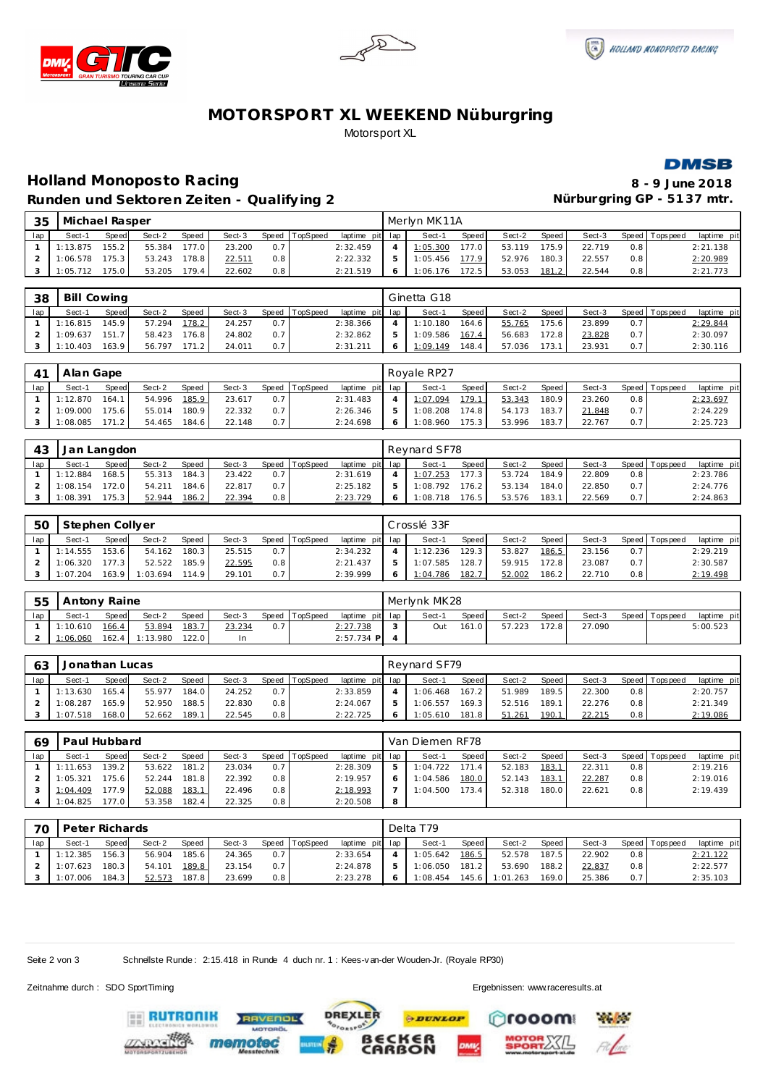





# **MOTORSPORT XL WEEKEND Nüburgring** Motorsport XL



# **Holland Monoposto Racing 8 - 9 June 2018** Runden und Sektoren Zeiten - Qualifying 2 **Nürburgring GP - 5137 mtr.**

| 35  | Michael Rasper |       |        |       |        |                  |          |                 | Merlyn MK11A |       |        |       |        |               |                   |             |
|-----|----------------|-------|--------|-------|--------|------------------|----------|-----------------|--------------|-------|--------|-------|--------|---------------|-------------------|-------------|
| lap | Sect-1         | Speed | Sect-2 | Speed | Sect-3 | Speed            | TopSpeed | laptime pit lap | Sect-1       | Speed | Sect-2 | Speed | Sect-3 |               | Speed   Tops peed | laptime pit |
|     | 1:13.875       | 155.2 | 55.384 | 177.0 | 23.200 | 0.7              |          | 2:32.459        | 1:05.300     | 177.0 | 53.119 | 175.9 | 22.719 | $0.8^{\circ}$ |                   | 2:21.138    |
|     | 1:06.578       | 175.3 | 53.243 | 178.8 | 22.511 | 0.8 <sub>1</sub> |          | 2:22.332        | 1:05.456     | 177.9 | 52.976 | 180.3 | 22.557 | 0.8           |                   | 2:20.989    |
|     | 1:05.712       | 175.0 | 53.205 | 179.4 | 22.602 | 0.8              |          | 2:21.519        | 1:06.176     | 172.5 | 53.053 | 181.2 | 22.544 | 0.8           |                   | 2:21.773    |

| 38  | <b>Bill Cowing</b> |              |        |              |        |     |                |             |     | Ginetta G18 |       |        |       |        |     |                   |             |
|-----|--------------------|--------------|--------|--------------|--------|-----|----------------|-------------|-----|-------------|-------|--------|-------|--------|-----|-------------------|-------------|
| lap | Sect-1             | <b>Speed</b> | Sect-2 | <b>Speed</b> | Sect-3 |     | Speed TopSpeed | laptime pit | lap | Sect-1      | Speed | Sect-2 | Speed | Sect-3 |     | Speed   Tops peed | laptime pit |
|     | 1:16.815           | 45.9         | 57.294 | 178.2        | 24.257 | 0.7 |                | 2:38.366    |     | 1:10.180    | 164.6 | 55.765 | 175.6 | 23.899 | 0.7 |                   | 2:29.844    |
|     | : 09.637           | 1517         | 58.423 | 176.8        | 24.802 | 0.7 |                | 2:32.862    | ь   | 1:09.586    | 167.4 | 56.683 | 172.8 | 23.828 | 0.7 |                   | 2:30.097    |
|     | 1:10.403           | 163.9        | 56.797 | 171 2        | 24.011 | 0.7 |                | 2:31.211    |     | 1:09.149    | 48.4  | 57.036 | 173.  | 23.931 | 0.7 |                   | 2:30.116    |

|     | Alan Gape |        |        |       |        |       |          |                 |   | Royale RP27 |              |        |       |        |     |                |             |
|-----|-----------|--------|--------|-------|--------|-------|----------|-----------------|---|-------------|--------------|--------|-------|--------|-----|----------------|-------------|
| lap | Sect-1    | Speed  | Sect-2 | Speed | Sect-3 | Speed | TopSpeed | laptime pit lap |   | Sect-1      | <b>Speed</b> | Sect-2 | Speed | Sect-3 |     | Speed Topspeed | laptime pit |
|     | 1:12.870  | 164.1  | 54.996 | 185.9 | 23.617 | 0.7   |          | 2:31.483        |   | 1:07.094    | 179.1        | 53.343 | 180.9 | 23.260 | 0.8 |                | 2:23.697    |
|     | 1:09.000  | 175.6  | 55.014 | 180.9 | 22.332 | 0.7   |          | 2:26.346        | ь | 1:08.208    | 174.8        | 54.173 | 183.7 | 21.848 | 0.7 |                | 2:24.229    |
|     | :08.085   | 171.21 | 54.465 | 184.6 | 22.148 | 0.7   |          | 2:24.698        |   | 1:08.960    | 175.3        | 53.996 | 183.7 | 22.767 | 0.7 |                | 2:25.723    |

| 43  | Jan Langdon |       |        |       |        |     |                |                 |    | Revnard SF78 |       |        |       |        |                  |                |             |
|-----|-------------|-------|--------|-------|--------|-----|----------------|-----------------|----|--------------|-------|--------|-------|--------|------------------|----------------|-------------|
| lap | Sect-1      | Speed | Sect-2 | Speed | Sect-3 |     | Speed TopSpeed | laptime pit lap |    | Sect-1       | Speed | Sect-2 | Speed | Sect-3 |                  | Speed Topspeed | laptime pit |
|     | 1:12.884    | 168.5 | 55.313 | 184.3 | 23.422 | 0.7 |                | 2:31.619        |    | 1:07.253     | 177.3 | 53.724 | 184.9 | 22.809 | 0.8              |                | 2:23.786    |
|     | 1:08.154    | 172.0 | 54.211 | 184.6 | 22.817 | 0.7 |                | 2:25.182        | b. | 1:08.792     | 176.2 | 53.134 | 184.0 | 22.850 | 0.7              |                | 2:24.776    |
|     | 1:08.391    | 175.3 | 52.944 | 186.2 | 22.394 | 0.8 |                | 2:23.729        |    | 1:08.718     | 176.5 | 53.576 | 183.1 | 22.569 | 0.7 <sup>1</sup> |                | 2:24.863    |

| 50  | Stephen Collyer |              |          |       |        |       |          |                 |              | Crosslé 33F |       |        |       |        |               |                   |             |
|-----|-----------------|--------------|----------|-------|--------|-------|----------|-----------------|--------------|-------------|-------|--------|-------|--------|---------------|-------------------|-------------|
| lap | Sect-1          | <b>Speed</b> | Sect-2   | Speed | Sect-3 | Speed | TopSpeed | laptime pit lap |              | Sect-1      | Speed | Sect-2 | Speed | Sect-3 |               | Speed   Tops peed | laptime pit |
|     | 1:14.555        | 153.6        | 54.162   | 180.3 | 25.515 | 0.7   |          | 2:34.232        |              | 1:12.236    | 129.3 | 53.827 | 186.5 | 23.156 | 0.7           |                   | 2:29.219    |
|     | 1:06.320        | 177.3        | 52.522   | 185.9 | 22.595 | 0.8   |          | 2:21.437        | 5            | 1:07.585    | 128.7 | 59.915 | 172.8 | 23.087 | 0.7           |                   | 2:30.587    |
|     | 1:07.204        | 163.9        | 1:03.694 | 114.9 | 29.101 | 0.7   |          | 2:39.999        | <sup>6</sup> | 1:04.786    | 182.7 | 52.002 | 186.2 | 22.710 | $0.8^{\circ}$ |                   | 2:19.498    |

| 55  | Antony Raine |       |          |       |        |     |                |                 | Merlynk MK28 |              |        |         |        |                 |             |
|-----|--------------|-------|----------|-------|--------|-----|----------------|-----------------|--------------|--------------|--------|---------|--------|-----------------|-------------|
| lap | $Sect-1$     | Speed | Sect-2   | Speed | Sect-3 |     | Speed TopSpeed | laptime pit lap | Sect-1       | <b>Speed</b> | Sect-2 | Speed I | Sect-3 | Speed Tops peed | laptime pit |
|     | 1:10.610     | 166.4 | 53.894   | 183.  | 23.234 | 0.7 |                | 2:27.738        | Jut          | 161.0        | 57.223 | 172.8   | 27.090 |                 | 5:00.523    |
|     | 1:06.060     | 162.4 | 1:13.980 | 122.0 |        |     |                | $2:57.734$ P    |              |              |        |         |        |                 |             |

| 63  | Jonathan Lucas |              |        |       |        |     |                |                 | Revnard SF79 |       |        |       |        |     |                   |             |
|-----|----------------|--------------|--------|-------|--------|-----|----------------|-----------------|--------------|-------|--------|-------|--------|-----|-------------------|-------------|
| lap | Sect-1         | <b>Speed</b> | Sect-2 | Speed | Sect-3 |     | Speed TopSpeed | laptime pit lap | Sect-1       | Speed | Sect-2 | Speed | Sect-3 |     | Speed   Tops peed | laptime pit |
|     | 1:13.630       | 165.4        | 55.977 | 184.0 | 24.252 | 0.7 |                | 2:33.859        | 1:06.468     | 167.2 | 51.989 | 189.5 | 22.300 | 0.8 |                   | 2:20.757    |
|     | 1:08.287       | 165.9        | 52.950 | 188.5 | 22.830 | 0.8 |                | 2:24.067        | 1:06.557     | 169.3 | 52.516 | 189.1 | 22.276 | 0.8 |                   | 2:21.349    |
|     | 1:07.518       | 168.0        | 52.662 | 189.1 | 22.545 | 0.8 |                | 2:22.725        | 1:05.610     | 181.8 | 51.261 | 190.1 | 22.215 | 0.8 |                   | 2:19.086    |

| 69  | Paul Hubbard |       |        |              |        |     |                |                 |   | Van Diemen RF78 |       |        |        |        |               |                 |             |
|-----|--------------|-------|--------|--------------|--------|-----|----------------|-----------------|---|-----------------|-------|--------|--------|--------|---------------|-----------------|-------------|
| lap | Sect-1       | Speed | Sect-2 | <b>Speed</b> | Sect-3 |     | Speed TopSpeed | laptime pit lap |   | Sect-1          | Speed | Sect-2 | Speed  | Sect-3 |               | Speed Tops peed | laptime pit |
|     | 1:11.653     | 139.2 | 53.622 | 181.2        | 23.034 | 0.7 |                | 2:28.309        | 5 | 1:04.722        | 171.4 | 52.183 | 183.1  | 22.311 | $0.8^{\circ}$ |                 | 2:19.216    |
|     | 1:05.321     | 175.6 | 52.244 | 181.8        | 22.392 | 0.8 |                | 2:19.957        |   | 1:04.586        | 180.0 | 52.143 | 183.1  | 22.287 | 0.8           |                 | 2:19.016    |
|     | 1:04.409     | 177.9 | 52.088 | 183.1        | 22.496 | 0.8 |                | 2:18.993        |   | 1:04.500        | 173.4 | 52.318 | 180.01 | 22.621 | 0.8           |                 | 2:19.439    |
|     | 1:04.825     | 177.0 | 53.358 | 182.4        | 22.325 | 0.8 |                | 2:20.508        | 8 |                 |       |        |        |        |               |                 |             |

| 70  | Peter Richards |       |        |        |        |                  |                |                 | Delta T79 |         |          |       |        |                  |                   |             |
|-----|----------------|-------|--------|--------|--------|------------------|----------------|-----------------|-----------|---------|----------|-------|--------|------------------|-------------------|-------------|
| lap | Sect-1         | Speed | Sect-2 | Speed  | Sect-3 |                  | Speed TopSpeed | laptime pit lap | Sect-1    | Speed   | Sect-2   | Speed | Sect-3 |                  | Speed   Tops peed | laptime pit |
|     | 1:12.385       | 156.3 | 56.904 | 185.61 | 24.365 | 0.7              |                | 2:33.654        | 1:05.642  | 186.5   | 52.578   | 187.5 | 22.902 | 0.8              |                   | 2:21.122    |
|     | 1:07.623       | 180.3 | 54.101 | 189.8  | 23.154 | 0.7 <sup>1</sup> |                | 2:24.878        | 1:06.050  | 181.2   | 53.690   | 188.2 | 22.837 | 0.8 <sub>1</sub> |                   | 2:22.577    |
|     | 1:07.006       | 184.3 | 52.573 | 187.8  | 23.699 | 0.8              |                | 2:23.278        | 1:08.454  | 145.6 l | 1:01.263 | 169.0 | 25.386 | 0.7              |                   | 2:35.103    |

**DREXLER** 

**PDUNLOP** 

ۧ<br>ON

Seite 2 von 3 Schnellste Runde : 2:15.418 in Runde 4 duch nr. 1 : Kees-van-der Wouden-Jr. (Royale RP30)

Zeitnahme durch : SDO SportTiming Ergebnissen: [www.raceresults.a](www.raceresults.at)t

ooom

**Physician**